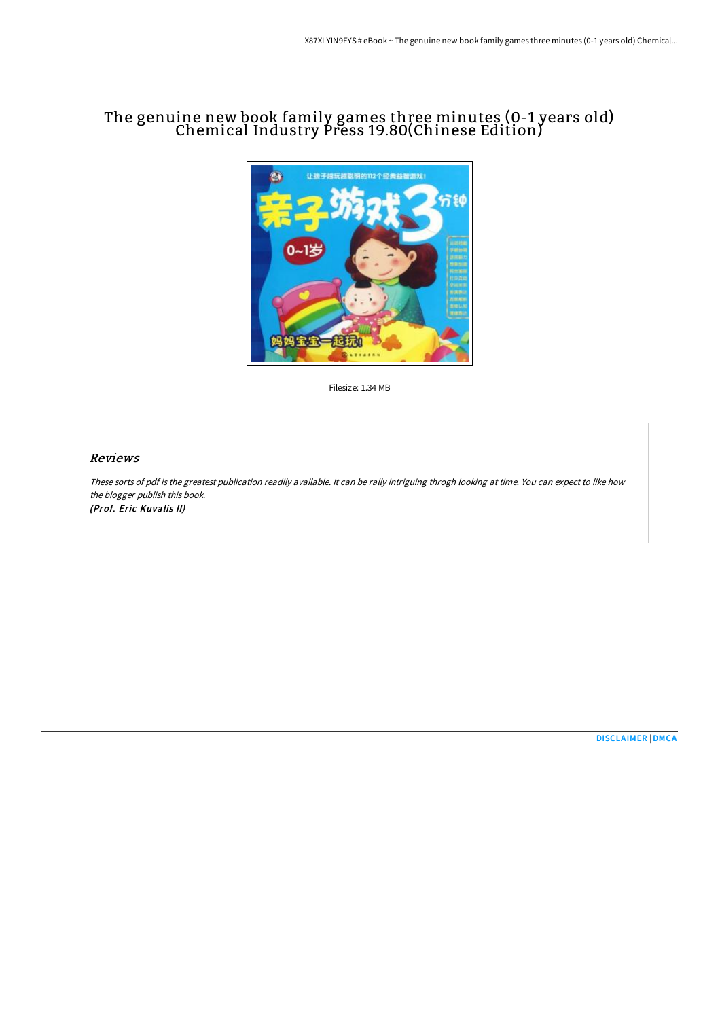## The genuine new book family games three minutes (0-1 years old) Chemical Industry Press 19.80(Chinese Edition)



Filesize: 1.34 MB

## Reviews

These sorts of pdf is the greatest publication readily available. It can be rally intriguing throgh looking at time. You can expect to like how the blogger publish this book. (Prof. Eric Kuvalis II)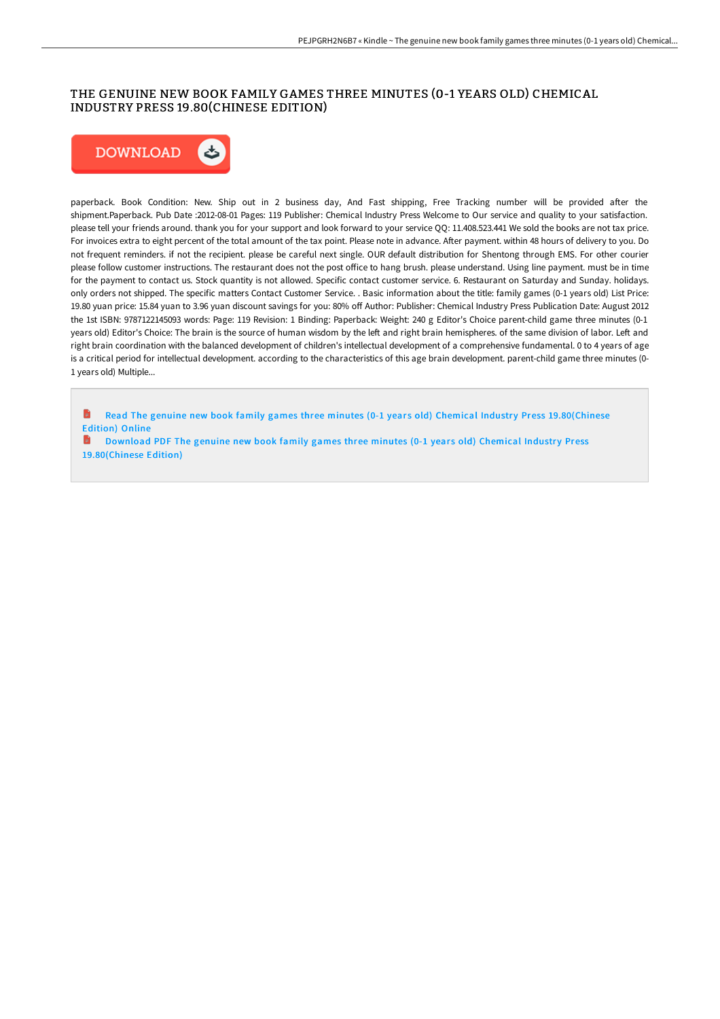## THE GENUINE NEW BOOK FAMILY GAMES THREE MINUTES (0-1 YEARS OLD) CHEMICAL INDUSTRY PRESS 19.80(CHINESE EDITION)



paperback. Book Condition: New. Ship out in 2 business day, And Fast shipping, Free Tracking number will be provided after the shipment.Paperback. Pub Date :2012-08-01 Pages: 119 Publisher: Chemical Industry Press Welcome to Our service and quality to your satisfaction. please tell your friends around. thank you for your support and look forward to your service QQ: 11.408.523.441 We sold the books are not tax price. For invoices extra to eight percent of the total amount of the tax point. Please note in advance. After payment. within 48 hours of delivery to you. Do not frequent reminders. if not the recipient. please be careful next single. OUR default distribution for Shentong through EMS. For other courier please follow customer instructions. The restaurant does not the post office to hang brush. please understand. Using line payment. must be in time for the payment to contact us. Stock quantity is not allowed. Specific contact customer service. 6. Restaurant on Saturday and Sunday. holidays. only orders not shipped. The specific matters Contact Customer Service. . Basic information about the title: family games (0-1 years old) List Price: 19.80 yuan price: 15.84 yuan to 3.96 yuan discount savings for you: 80% oH Author: Publisher: Chemical Industry Press Publication Date: August 2012 the 1st ISBN: 9787122145093 words: Page: 119 Revision: 1 Binding: Paperback: Weight: 240 g Editor's Choice parent-child game three minutes (0-1 years old) Editor's Choice: The brain is the source of human wisdom by the left and right brain hemispheres. of the same division of labor. Left and right brain coordination with the balanced development of children's intellectual development of a comprehensive fundamental. 0 to 4 years of age is a critical period for intellectual development. according to the characteristics of this age brain development. parent-child game three minutes (0- 1 years old) Multiple...

Read The genuine new book family games three minutes (0-1 years old) Chemical Industry Press [19.80\(Chinese](http://albedo.media/the-genuine-new-book-family-games-three-minutes--2.html) Edition) Online

Download PDF The genuine new book family games three minutes (0-1 years old) Chemical Industry Press [19.80\(Chinese](http://albedo.media/the-genuine-new-book-family-games-three-minutes--2.html) Edition)